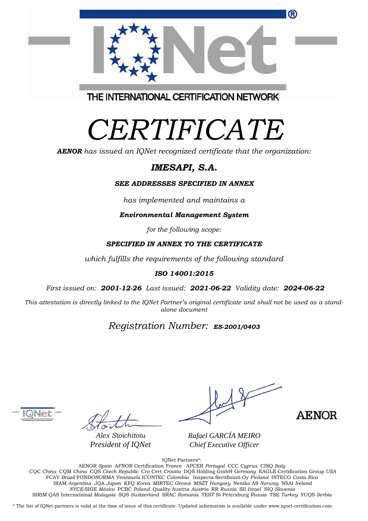THE INTERNATIONAL CERTIFICATION NETWORK

# *CERTIFICATE*

*AENOR has issued an IQNet recognized certificate that the organization:*

## *IMESAPI, S.A.*

#### *SEE ADDRESSES SPECIFIED IN ANNEX*

*has implemented and maintains a*

*Environmental Management System*

*for the following scope:* 

#### *SPECIFIED IN ANNEX TO THE CERTIFICATE*

*which fulfills the requirements of the following standard*

#### *ISO 14001:2015*

*First issued on: 2001-12-26 Last issued: 2021-06-22 Validity date: 2024-06-22*

This attestation is directly linked to the IQNet Partner's original certificate and shall not be used as a stand*alone document*

## *Registration Number: ES-2001/0403*



*Alex Stoichitoiu President of IQNet*

*Rafael GARCÍA MEIRO Chief Executive Officer*

**AENOR** 

IQNet Partners\*: AENOR *Spain* AFNOR Certification *France* APCER *Portugal* CCC *Cyprus* CISQ *Italy* CQC *China* CQM *China* CQS *Czech Republic* Cro Cert *Croatia* DQS Holding GmbH *Germany* EAGLE Certification Group *USA* FCAV *Brazil* FONDONORMA *Venezuela* ICONTEC *Colombia* Inspecta Sertifiointi Oy *Finland* INTECO *Costa Rica* IRAM *Argentina* JQA *Japan* KFQ *Korea* MIRTEC *Greece* MSZT *Hungary* Nemko AS *Norway* NSAI *Ireland NYCE-*SIGE *México* PCBC *Poland* Quality Austria *Austria* RR *Russia* SII *Israel* SIQ *Slovenia*  SIRIM QAS International *Malaysia* SQS *Switzerland* SRAC *Romania* TEST St Petersburg *Russia* TSE *Turkey* YUQS *Serbia*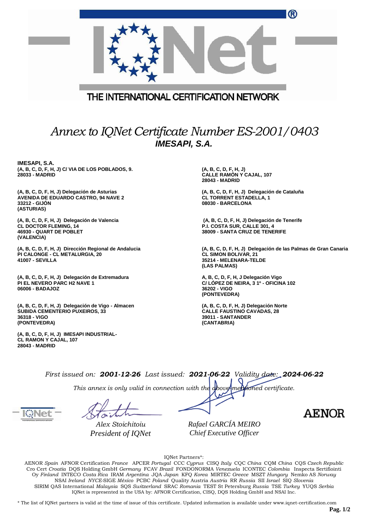|                                                                                                                       | ®                                                                                                                                       |  |  |  |  |  |
|-----------------------------------------------------------------------------------------------------------------------|-----------------------------------------------------------------------------------------------------------------------------------------|--|--|--|--|--|
|                                                                                                                       |                                                                                                                                         |  |  |  |  |  |
| THE INTERNATIONAL CERTIFICATION NETWORK                                                                               |                                                                                                                                         |  |  |  |  |  |
| Annex to IQNet Certificate Number ES-2001/0403<br><b>IMESAPI, S.A.</b>                                                |                                                                                                                                         |  |  |  |  |  |
| IMESAPI, S.A.<br>(A, B, C, D, F, H, J) C/ VIA DE LOS POBLADOS, 9.<br>28033 - MADRID                                   | (A, B, C, D, F, H, J)<br><b>CALLE RAMON Y CAJAL, 107</b><br>28043 - MADRID                                                              |  |  |  |  |  |
| (A, B, C, D, F, H, J) Delegación de Asturias<br>AVENIDA DE EDUARDO CASTRO, 94 NAVE 2<br>33212 - GIJON<br>(ASTURIAS)   | (A, B, C, D, F, H, J) Delegación de Cataluña<br><b>CL TORRENT ESTADELLA, 1</b><br>08030 - BARCELONA                                     |  |  |  |  |  |
| (A, B, C, D, F, H, J) Delegación de Valencia<br><b>CL DOCTOR FLEMING, 14</b><br>46930 - QUART DE POBLET<br>(VALENCIA) | (A, B, C, D, F, H, J) Delegación de Tenerife<br>P.I. COSTA SUR, CALLE 301, 4<br>38009 - SANTA CRUZ DE TENERIFE                          |  |  |  |  |  |
| (A, B, C, D, F, H, J) Dirección Regional de Andalucia<br>PI CALONGE - CL METALURGIA, 20<br><b>41007 - SEVILLA</b>     | (A, B, C, D, F, H, J) Delegación de las Palmas de Gran Canaria<br><b>CL SIMON BOLIVAR, 21</b><br>35214 - MELENARA-TELDE<br>(LAS PALMAS) |  |  |  |  |  |
| (A, B, C, D, F, H, J) Delegación de Extremadura<br><b>PI EL NEVERO PARC H2 NAVE 1</b><br>06006 - BADAJOZ              | A, B, C, D, F, H, J Delegación Vigo<br>C/ LOPEZ DE NEIRA, 3 1º - OFICINA 102<br>36202 - VIGO<br>(PONTEVEDRA)                            |  |  |  |  |  |

**(A, B, C, D, F, H, J) Delegación de Vigo - Almacen SUBIDA CEMENTERIO PUXEIROS, 33 36318 - VIGO (PONTEVEDRA)**

**(A, B, C, D, F, H, J) IMESAPI INDUSTRIAL-CL RAMON Y CAJAL, 107 28043 - MADRID**

**(A, B, C, D, F, H, J) Delegación Norte CALLE FAUSTINO CAVADAS, 28 39011 - SANTANDER (CANTABRIA)**

*First issued on: 2001-12-26 Last issued: 2021-06-22 Validity date: 2024-06-22*

*This annex is only valid in connection with the above-mentioned certificate.*

*Alex Stoichitoiu President of IQNet* *Rafael GARCÍA MEIRO Chief Executive Officer*

**AENOR** 

IQNet Partners\*:

AENOR *Spain* AFNOR Certification *France* APCER *Portugal* CCC *Cyprus* CISQ *Italy* CQC *China* CQM *China* CQS *Czech Republic*  Cro Cert *Croatia* DQS Holding GmbH *Germany* FCAV *Brazil* FONDONORMA *Venezuela* ICONTEC *Colombia* Inspecta Sertifiointi Oy *Finland* INTECO *Costa Rica* IRAM *Argentina* JQA *Japan* KFQ *Korea* MIRTEC *Greece* MSZT *Hungary* Nemko AS *Norway*  NSAI *Ireland NYCE-*SIGE *México* PCBC *Poland* Quality Austria *Austria* RR *Russia* SII *Israel* SIQ *Slovenia*  SIRIM QAS International *Malaysia* SQS *Switzerland* SRAC *Romania* TEST St Petersburg *Russia* TSE *Turkey* YUQS *Serbia* IQNet is represented in the USA by: AFNOR Certification, CISQ, DQS Holding GmbH and NSAI Inc.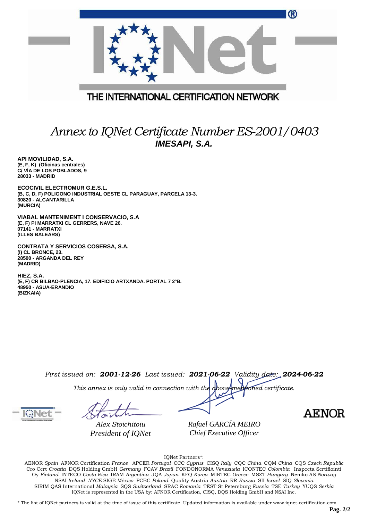|                                         | ® |
|-----------------------------------------|---|
|                                         |   |
| THE INTERNATIONAL CERTIFICATION NETWORK |   |
|                                         |   |

## *Annex to IQNet Certificate Number ES-2001/0403 IMESAPI, S.A.*

**API MOVILIDAD, S.A. (E, F, K) (Oficinas centrales) C/ VÍA DE LOS POBLADOS, 9 28033 - MADRID**

**ECOCIVIL ELECTROMUR G.E.S.L. (B, C, D, F) POLIGONO INDUSTRIAL OESTE CL PARAGUAY, PARCELA 13-3. 30820 - ALCANTARILLA (MURCIA)**

**VIABAL MANTENIMENT I CONSERVACIO, S.A (E, F) PI MARRATXI CL GERRERS, NAVE 26. 07141 - MARRATXI (ILLES BALEARS)**

**CONTRATA Y SERVICIOS COSERSA, S.A. (I) CL BRONCE, 23. 28500 - ARGANDA DEL REY (MADRID)**

**HIEZ, S.A. (E, F) CR BILBAO-PLENCIA, 17. EDIFICIO ARTXANDA. PORTAL 7 2ºB. 48950 - ASUA-ERANDIO (BIZKAIA)**

*First issued on: 2001-12-26 Last issued: 2021-06-22 Validity date: 2024-06-22*

*This annex is only valid in connection with the above-mentioned certificate.*

*Alex Stoichitoiu President of IQNet* *Rafael GARCÍA MEIRO Chief Executive Officer*

**AENOR** 

IQNet Partners\*:

AENOR *Spain* AFNOR Certification *France* APCER *Portugal* CCC *Cyprus* CISQ *Italy* CQC *China* CQM *China* CQS *Czech Republic*  Cro Cert *Croatia* DQS Holding GmbH *Germany* FCAV *Brazil* FONDONORMA *Venezuela* ICONTEC *Colombia* Inspecta Sertifiointi Oy *Finland* INTECO *Costa Rica* IRAM *Argentina* JQA *Japan* KFQ *Korea* MIRTEC *Greece* MSZT *Hungary* Nemko AS *Norway*  NSAI *Ireland NYCE-*SIGE *México* PCBC *Poland* Quality Austria *Austria* RR *Russia* SII *Israel* SIQ *Slovenia*  SIRIM QAS International *Malaysia* SQS *Switzerland* SRAC *Romania* TEST St Petersburg *Russia* TSE *Turkey* YUQS *Serbia* IQNet is represented in the USA by: AFNOR Certification, CISQ, DQS Holding GmbH and NSAI Inc.